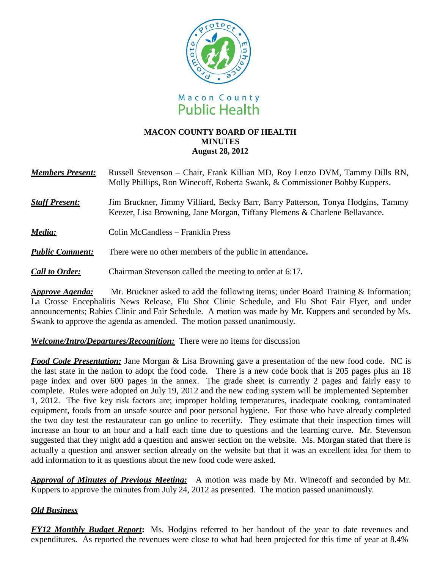

#### **MACON COUNTY BOARD OF HEALTH MINUTES August 28, 2012**

| <b>Members Present:</b> | Russell Stevenson – Chair, Frank Killian MD, Roy Lenzo DVM, Tammy Dills RN,<br>Molly Phillips, Ron Winecoff, Roberta Swank, & Commissioner Bobby Kuppers.     |
|-------------------------|---------------------------------------------------------------------------------------------------------------------------------------------------------------|
| <b>Staff Present:</b>   | Jim Bruckner, Jimmy Villiard, Becky Barr, Barry Patterson, Tonya Hodgins, Tammy<br>Keezer, Lisa Browning, Jane Morgan, Tiffany Plemens & Charlene Bellavance. |
| Media:                  | Colin McCandless – Franklin Press                                                                                                                             |
| <b>Public Comment:</b>  | There were no other members of the public in attendance.                                                                                                      |
| <b>Call to Order:</b>   | Chairman Stevenson called the meeting to order at 6:17.                                                                                                       |

*Approve Agenda:* Mr. Bruckner asked to add the following items; under Board Training & Information; La Crosse Encephalitis News Release, Flu Shot Clinic Schedule, and Flu Shot Fair Flyer, and under announcements; Rabies Clinic and Fair Schedule. A motion was made by Mr. Kuppers and seconded by Ms. Swank to approve the agenda as amended. The motion passed unanimously.

### *Welcome/Intro/Departures/Recognition:* There were no items for discussion

*Food Code Presentation:* Jane Morgan & Lisa Browning gave a presentation of the new food code. NC is the last state in the nation to adopt the food code. There is a new code book that is 205 pages plus an 18 page index and over 600 pages in the annex. The grade sheet is currently 2 pages and fairly easy to complete. Rules were adopted on July 19, 2012 and the new coding system will be implemented September 1, 2012. The five key risk factors are; improper holding temperatures, inadequate cooking, contaminated equipment, foods from an unsafe source and poor personal hygiene. For those who have already completed the two day test the restaurateur can go online to recertify. They estimate that their inspection times will increase an hour to an hour and a half each time due to questions and the learning curve. Mr. Stevenson suggested that they might add a question and answer section on the website. Ms. Morgan stated that there is actually a question and answer section already on the website but that it was an excellent idea for them to add information to it as questions about the new food code were asked.

*Approval of Minutes of Previous Meeting:* A motion was made by Mr. Winecoff and seconded by Mr. Kuppers to approve the minutes from July 24, 2012 as presented. The motion passed unanimously.

### *Old Business*

*FY12 Monthly Budget Report***:** Ms. Hodgins referred to her handout of the year to date revenues and expenditures. As reported the revenues were close to what had been projected for this time of year at 8.4%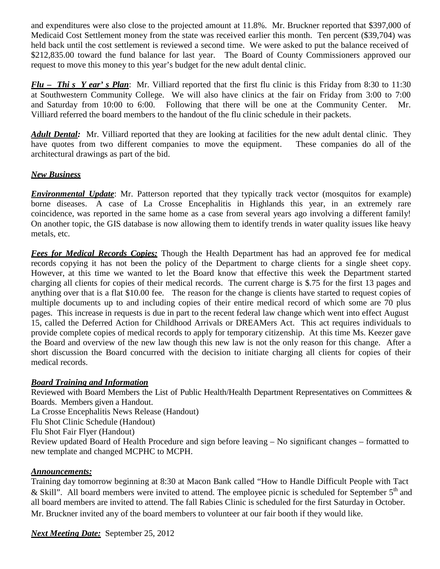and expenditures were also close to the projected amount at 11.8%. Mr. Bruckner reported that \$397,000 of Medicaid Cost Settlement money from the state was received earlier this month. Ten percent (\$39,704) was held back until the cost settlement is reviewed a second time. We were asked to put the balance received of \$212,835.00 toward the fund balance for last year. The Board of County Commissioners approved our request to move this money to this year's budget for the new adult dental clinic.

*Flu – Thi s Y ear' s Plan*: Mr. Villiard reported that the first flu clinic is this Friday from 8:30 to 11:30 at Southwestern Community College. We will also have clinics at the fair on Friday from 3:00 to 7:00 and Saturday from 10:00 to 6:00. Following that there will be one at the Community Center. Mr. Villiard referred the board members to the handout of the flu clinic schedule in their packets.

*Adult Dental:* Mr. Villiard reported that they are looking at facilities for the new adult dental clinic. They have quotes from two different companies to move the equipment. These companies do all of the architectural drawings as part of the bid.

## *New Business*

*Environmental Update*: Mr. Patterson reported that they typically track vector (mosquitos for example) borne diseases. A case of La Crosse Encephalitis in Highlands this year, in an extremely rare coincidence, was reported in the same home as a case from several years ago involving a different family! On another topic, the GIS database is now allowing them to identify trends in water quality issues like heavy metals, etc.

*Fees for Medical Records Copies:* Though the Health Department has had an approved fee for medical records copying it has not been the policy of the Department to charge clients for a single sheet copy. However, at this time we wanted to let the Board know that effective this week the Department started charging all clients for copies of their medical records. The current charge is \$.75 for the first 13 pages and anything over that is a flat \$10.00 fee. The reason for the change is clients have started to request copies of multiple documents up to and including copies of their entire medical record of which some are 70 plus pages. This increase in requests is due in part to the recent federal law change which went into effect August 15, called the Deferred Action for Childhood Arrivals or DREAMers Act. This act requires individuals to provide complete copies of medical records to apply for temporary citizenship. At this time Ms. Keezer gave the Board and overview of the new law though this new law is not the only reason for this change. After a short discussion the Board concurred with the decision to initiate charging all clients for copies of their medical records.

### *Board Training and Information*

Reviewed with Board Members the List of Public Health/Health Department Representatives on Committees & Boards. Members given a Handout. La Crosse Encephalitis News Release (Handout) Flu Shot Clinic Schedule (Handout) Flu Shot Fair Flyer (Handout) Review updated Board of Health Procedure and sign before leaving – No significant changes – formatted to new template and changed MCPHC to MCPH.

# *Announcements:*

Training day tomorrow beginning at 8:30 at Macon Bank called "How to Handle Difficult People with Tact & Skill". All board members were invited to attend. The employee picnic is scheduled for September  $5<sup>th</sup>$  and all board members are invited to attend. The fall Rabies Clinic is scheduled for the first Saturday in October. Mr. Bruckner invited any of the board members to volunteer at our fair booth if they would like.

*Next Meeting Date:* September 25, 2012